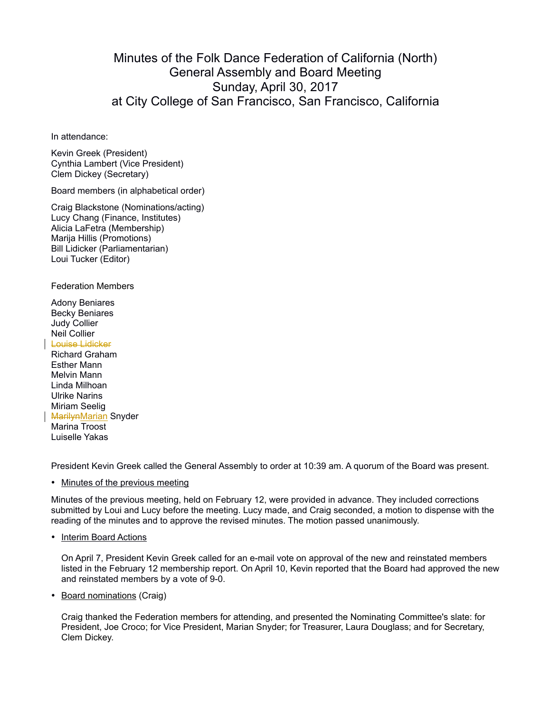## Minutes of the Folk Dance Federation of California (North) General Assembly and Board Meeting Sunday, April 30, 2017 at City College of San Francisco, San Francisco, California

In attendance:

Kevin Greek (President) Cynthia Lambert (Vice President) Clem Dickey (Secretary)

Board members (in alphabetical order)

Craig Blackstone (Nominations/acting) Lucy Chang (Finance, Institutes) Alicia LaFetra (Membership) Marija Hillis (Promotions) Bill Lidicker (Parliamentarian) Loui Tucker (Editor)

Federation Members

Adony Beniares Becky Beniares Judy Collier Neil Collier Louise Lidicker Richard Graham Esther Mann Melvin Mann Linda Milhoan Ulrike Narins Miriam Seelig

**MarilynMarian Snyder** Marina Troost Luiselle Yakas

President Kevin Greek called the General Assembly to order at 10:39 am. A quorum of the Board was present.

• Minutes of the previous meeting

Minutes of the previous meeting, held on February 12, were provided in advance. They included corrections submitted by Loui and Lucy before the meeting. Lucy made, and Craig seconded, a motion to dispense with the reading of the minutes and to approve the revised minutes. The motion passed unanimously.

• Interim Board Actions

On April 7, President Kevin Greek called for an e-mail vote on approval of the new and reinstated members listed in the February 12 membership report. On April 10, Kevin reported that the Board had approved the new and reinstated members by a vote of 9-0.

• Board nominations (Craig)

Craig thanked the Federation members for attending, and presented the Nominating Committee's slate: for President, Joe Croco; for Vice President, Marian Snyder; for Treasurer, Laura Douglass; and for Secretary, Clem Dickey.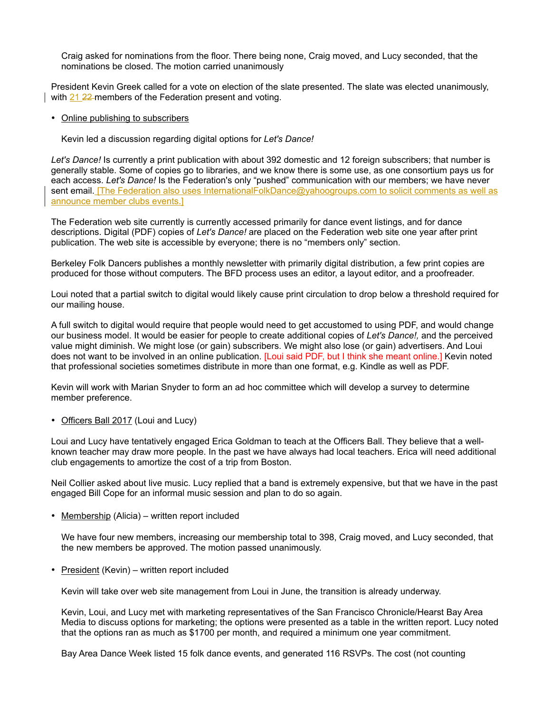Craig asked for nominations from the floor. There being none, Craig moved, and Lucy seconded, that the nominations be closed. The motion carried unanimously

President Kevin Greek called for a vote on election of the slate presented. The slate was elected unanimously, with 21 22 members of the Federation present and voting.

## • Online publishing to subscribers

Kevin led a discussion regarding digital options for *Let's Dance!*

*Let's Dance!* Is currently a print publication with about 392 domestic and 12 foreign subscribers; that number is generally stable. Some of copies go to libraries, and we know there is some use, as one consortium pays us for each access. *Let's Dance!* Is the Federation's only "pushed" communication with our members; we have never sent email. [The Federation also uses InternationalFolkDance@yahoogroups.com to solicit comments as well as announce member clubs events.]

The Federation web site currently is currently accessed primarily for dance event listings, and for dance descriptions. Digital (PDF) copies of *Let's Dance!* are placed on the Federation web site one year after print publication. The web site is accessible by everyone; there is no "members only" section.

Berkeley Folk Dancers publishes a monthly newsletter with primarily digital distribution, a few print copies are produced for those without computers. The BFD process uses an editor, a layout editor, and a proofreader.

Loui noted that a partial switch to digital would likely cause print circulation to drop below a threshold required for our mailing house.

A full switch to digital would require that people would need to get accustomed to using PDF, and would change our business model. It would be easier for people to create additional copies of *Let's Dance!,* and the perceived value might diminish. We might lose (or gain) subscribers. We might also lose (or gain) advertisers. And Loui does not want to be involved in an online publication. [Loui said PDF, but I think she meant online.] Kevin noted that professional societies sometimes distribute in more than one format, e.g. Kindle as well as PDF.

Kevin will work with Marian Snyder to form an ad hoc committee which will develop a survey to determine member preference.

• Officers Ball 2017 (Loui and Lucy)

Loui and Lucy have tentatively engaged Erica Goldman to teach at the Officers Ball. They believe that a wellknown teacher may draw more people. In the past we have always had local teachers. Erica will need additional club engagements to amortize the cost of a trip from Boston.

Neil Collier asked about live music. Lucy replied that a band is extremely expensive, but that we have in the past engaged Bill Cope for an informal music session and plan to do so again.

• Membership (Alicia) – written report included

We have four new members, increasing our membership total to 398, Craig moved, and Lucy seconded, that the new members be approved. The motion passed unanimously.

• President (Kevin) – written report included

Kevin will take over web site management from Loui in June, the transition is already underway.

Kevin, Loui, and Lucy met with marketing representatives of the San Francisco Chronicle/Hearst Bay Area Media to discuss options for marketing; the options were presented as a table in the written report. Lucy noted that the options ran as much as \$1700 per month, and required a minimum one year commitment.

Bay Area Dance Week listed 15 folk dance events, and generated 116 RSVPs. The cost (not counting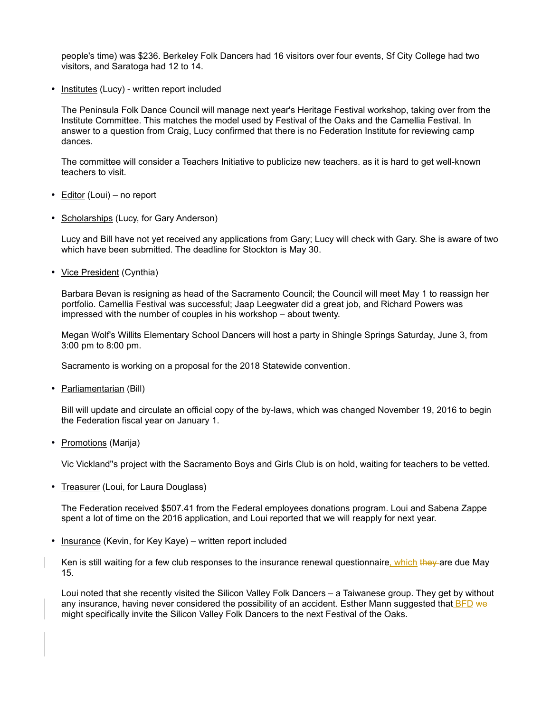people's time) was \$236. Berkeley Folk Dancers had 16 visitors over four events, Sf City College had two visitors, and Saratoga had 12 to 14.

• Institutes (Lucy) - written report included

The Peninsula Folk Dance Council will manage next year's Heritage Festival workshop, taking over from the Institute Committee. This matches the model used by Festival of the Oaks and the Camellia Festival. In answer to a question from Craig, Lucy confirmed that there is no Federation Institute for reviewing camp dances.

The committee will consider a Teachers Initiative to publicize new teachers. as it is hard to get well-known teachers to visit.

- Editor (Loui) no report
- Scholarships (Lucy, for Gary Anderson)

Lucy and Bill have not yet received any applications from Gary; Lucy will check with Gary. She is aware of two which have been submitted. The deadline for Stockton is May 30.

• Vice President (Cynthia)

Barbara Bevan is resigning as head of the Sacramento Council; the Council will meet May 1 to reassign her portfolio. Camellia Festival was successful; Jaap Leegwater did a great job, and Richard Powers was impressed with the number of couples in his workshop – about twenty.

Megan Wolf's Willits Elementary School Dancers will host a party in Shingle Springs Saturday, June 3, from 3:00 pm to 8:00 pm.

Sacramento is working on a proposal for the 2018 Statewide convention.

• Parliamentarian (Bill)

Bill will update and circulate an official copy of the by-laws, which was changed November 19, 2016 to begin the Federation fiscal year on January 1.

• Promotions (Marija)

Vic Vickland''s project with the Sacramento Boys and Girls Club is on hold, waiting for teachers to be vetted.

• Treasurer (Loui, for Laura Douglass)

The Federation received \$507.41 from the Federal employees donations program. Loui and Sabena Zappe spent a lot of time on the 2016 application, and Loui reported that we will reapply for next year.

- Insurance (Kevin, for Key Kaye) written report included
- Ken is still waiting for a few club responses to the insurance renewal questionnaire, which they are due May 15.

Loui noted that she recently visited the Silicon Valley Folk Dancers – a Taiwanese group. They get by without any insurance, having never considered the possibility of an accident. Esther Mann suggested that **BFD** we might specifically invite the Silicon Valley Folk Dancers to the next Festival of the Oaks.